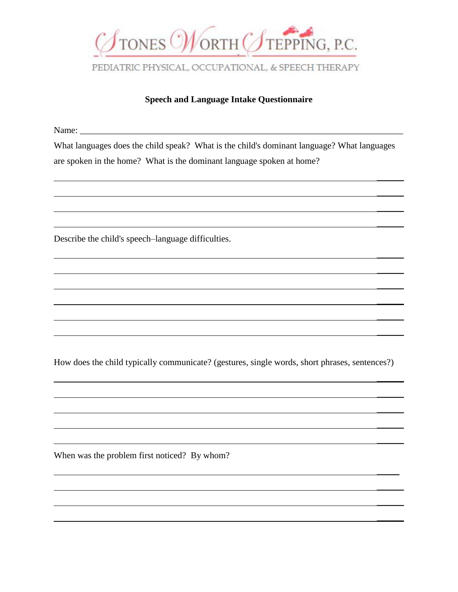

## **Speech and Language Intake Questionnaire**

Name:

What languages does the child speak? What is the child's dominant language? What languages are spoken in the home? What is the dominant language spoken at home?

 $\mathcal{L}$ 

 $\mathcal{L}$ 

 $\overline{\phantom{a}}$ 

 $\mathcal{L}$ 

 $\mathcal{L}$ 

 $\overline{\phantom{a}}$ 

 $\overline{\phantom{a}}$ 

 $\mathcal{L}$ 

 $\mathcal{L}$ 

 $\mathcal{L}$ 

 $\mathcal{L}$ 

 $\mathcal{L}$ 

 $\mathcal{L}$ 

 $\overline{\phantom{a}}$ 

 $\overline{\phantom{a}}$ 

 $\frac{1}{2}$ 

 $\overline{\phantom{a}}$ 

 $\overline{\phantom{a}}$ 

 $\mathcal{L}$ 

Describe the child's speech–language difficulties.

How does the child typically communicate? (gestures, single words, short phrases, sentences?)

When was the problem first noticed? By whom?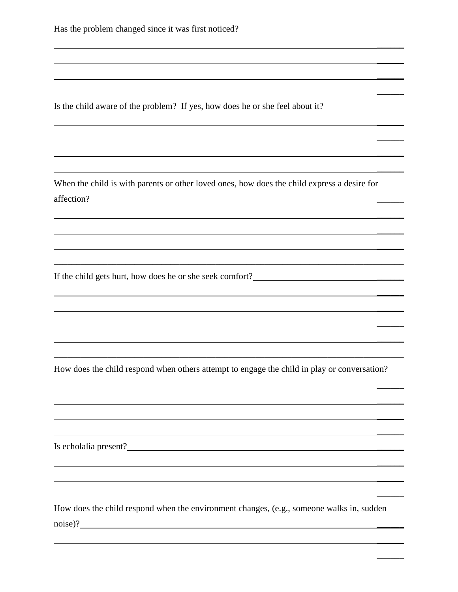Is the child aware of the problem? If yes, how does he or she feel about it?

When the child is with parents or other loved ones, how does the child express a desire for affection? \_\_\_\_\_\_

 $\overline{\phantom{a}}$ 

 $\overline{\phantom{a}}$ 

 $\mathcal{L}$ 

 $\mathcal{L}$ 

 $\overline{\phantom{a}}$ 

 $\mathcal{L}$ 

 $\mathcal{L}$ 

 $\mathcal{L}$ 

 $\overline{\phantom{a}}$ 

 $\mathcal{L}$ 

 $\mathcal{L}$ 

 $\mathcal{L}$ 

 $\mathcal{L}$ 

 $\mathcal{L}$ 

 $\mathcal{L}$ 

 $\mathcal{L}$ 

 $\mathcal{L}$ 

 $\overline{\phantom{a}}$ 

 $\overline{\phantom{a}}$ 

 $\mathcal{L}$ 

 $\overline{\phantom{a}}$ 

 $\overline{\phantom{a}}$ 

 $\mathcal{L}$ 

 $\mathcal{L}$ 

If the child gets hurt, how does he or she seek comfort? \_\_\_\_\_\_

How does the child respond when others attempt to engage the child in play or conversation?

\_\_\_\_\_\_\_\_\_\_\_\_\_\_\_\_\_\_\_\_\_\_\_\_\_\_\_\_\_\_\_\_\_\_\_\_\_\_\_\_\_\_\_\_\_\_\_\_\_\_\_\_\_\_\_\_\_\_\_\_\_\_\_\_\_\_\_\_\_\_\_\_\_\_\_\_\_\_

Is echolalia present?

How does the child respond when the environment changes, (e.g., someone walks in, sudden noise)?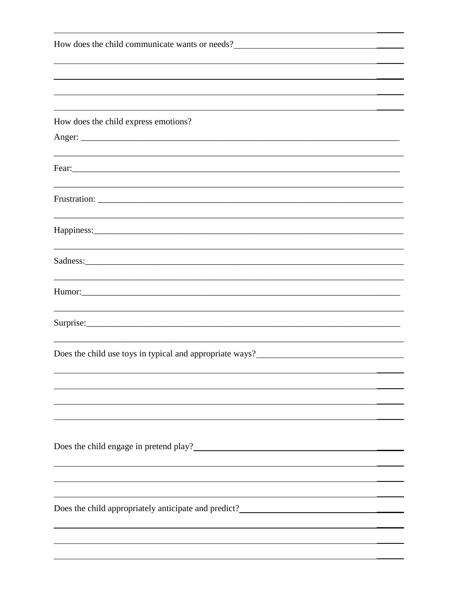| How does the child communicate wants or needs?                                                                                                                                                                                         |  |  |
|----------------------------------------------------------------------------------------------------------------------------------------------------------------------------------------------------------------------------------------|--|--|
|                                                                                                                                                                                                                                        |  |  |
|                                                                                                                                                                                                                                        |  |  |
|                                                                                                                                                                                                                                        |  |  |
| How does the child express emotions?                                                                                                                                                                                                   |  |  |
|                                                                                                                                                                                                                                        |  |  |
|                                                                                                                                                                                                                                        |  |  |
| Fear: Fear and the second contract of the second contract of the second contract of the second contract of the second contract of the second contract of the second contract of the second contract of the second contract of          |  |  |
|                                                                                                                                                                                                                                        |  |  |
|                                                                                                                                                                                                                                        |  |  |
|                                                                                                                                                                                                                                        |  |  |
|                                                                                                                                                                                                                                        |  |  |
| the control of the control of the control of the control of the control of the control of the control of the control of the control of the control of the control of the control of the control of the control of the control          |  |  |
|                                                                                                                                                                                                                                        |  |  |
|                                                                                                                                                                                                                                        |  |  |
|                                                                                                                                                                                                                                        |  |  |
|                                                                                                                                                                                                                                        |  |  |
|                                                                                                                                                                                                                                        |  |  |
|                                                                                                                                                                                                                                        |  |  |
|                                                                                                                                                                                                                                        |  |  |
|                                                                                                                                                                                                                                        |  |  |
| Does the child engage in pretend play?<br><u>Letter and the contract of the contract of the contract of the contract of the contract of the contract of the contract of the contract of the contract of the contract of the contra</u> |  |  |
|                                                                                                                                                                                                                                        |  |  |
|                                                                                                                                                                                                                                        |  |  |
|                                                                                                                                                                                                                                        |  |  |
| Does the child appropriately anticipate and predict?<br><u>Letter and the contract of the contract of the contract of the contract of the contract of the contract of the contract of the contract of the contract of the contract</u> |  |  |
|                                                                                                                                                                                                                                        |  |  |
|                                                                                                                                                                                                                                        |  |  |
|                                                                                                                                                                                                                                        |  |  |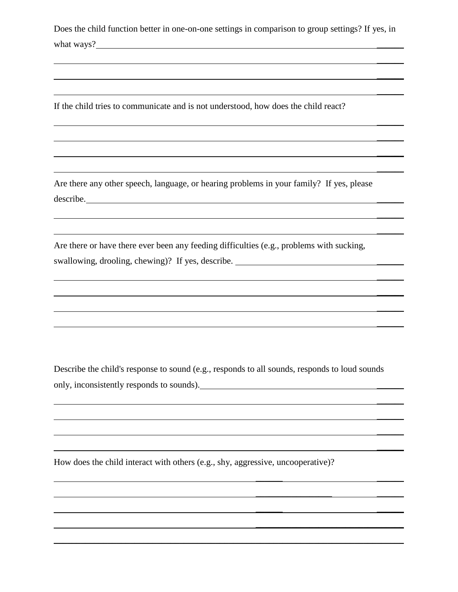Does the child function better in one-on-one settings in comparison to group settings? If yes, in what ways?

 $\overline{\phantom{a}}$ 

 $\mathcal{L}$ 

 $\mathcal{L}$ 

 $\overline{\phantom{a}}$ 

 $\mathcal{L}$ 

 $\mathcal{L}$ 

 $\frac{1}{2}$ 

 $\overline{\phantom{a}}$ 

 $\frac{1}{2}$ 

 $\overline{\phantom{a}}$ 

 $\mathcal{L}$ 

 $\mathcal{L}$ 

 $\frac{1}{2}$ 

 $\frac{1}{2}$ 

 $\overline{\phantom{a}}$ 

 $\overline{\phantom{a}}$ 

 $\mathcal{L}$ 

\_\_\_\_\_\_ \_\_\_\_\_\_

 $\_$ 

\_\_\_\_\_\_ \_\_\_\_\_\_

\_\_\_\_\_\_\_\_\_\_\_\_\_\_\_\_\_\_\_\_\_\_\_\_\_\_\_\_\_\_\_\_\_

If the child tries to communicate and is not understood, how does the child react?

Are there any other speech, language, or hearing problems in your family? If yes, please describe.

Are there or have there ever been any feeding difficulties (e.g., problems with sucking, swallowing, drooling, chewing)? If yes, describe. \_\_\_\_\_\_\_\_\_\_\_\_\_\_\_\_\_\_\_\_\_\_\_\_\_\_\_\_\_\_\_

Describe the child's response to sound (e.g., responds to all sounds, responds to loud sounds only, inconsistently responds to sounds).  $\Box$ 

\_\_\_\_\_\_\_\_\_\_\_\_\_\_\_\_\_\_\_\_\_\_\_\_\_\_\_\_\_\_\_\_\_\_\_\_\_\_\_\_\_\_\_\_\_\_\_\_\_\_\_\_\_\_\_\_\_\_\_\_\_\_\_\_\_\_\_\_\_\_\_\_\_\_\_\_\_\_

How does the child interact with others (e.g., shy, aggressive, uncooperative)?